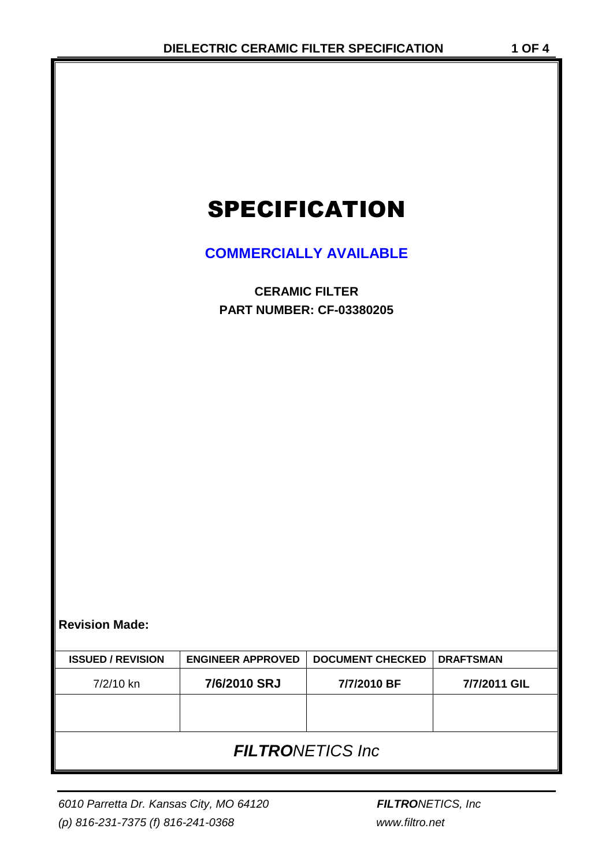# SPECIFICATION

## **COMMERCIALLY AVAILABLE**

**CERAMIC FILTER PART NUMBER: CF-03380205**

**Revision Made:**

| <b>ISSUED / REVISION</b> | <b>ENGINEER APPROVED</b> | <b>DOCUMENT CHECKED</b> | <b>DRAFTSMAN</b> |  |  |
|--------------------------|--------------------------|-------------------------|------------------|--|--|
| 7/2/10 kn                | 7/6/2010 SRJ             | 7/7/2010 BF             | 7/7/2011 GIL     |  |  |
|                          |                          |                         |                  |  |  |
|                          |                          |                         |                  |  |  |
| <b>FILTRONETICS Inc.</b> |                          |                         |                  |  |  |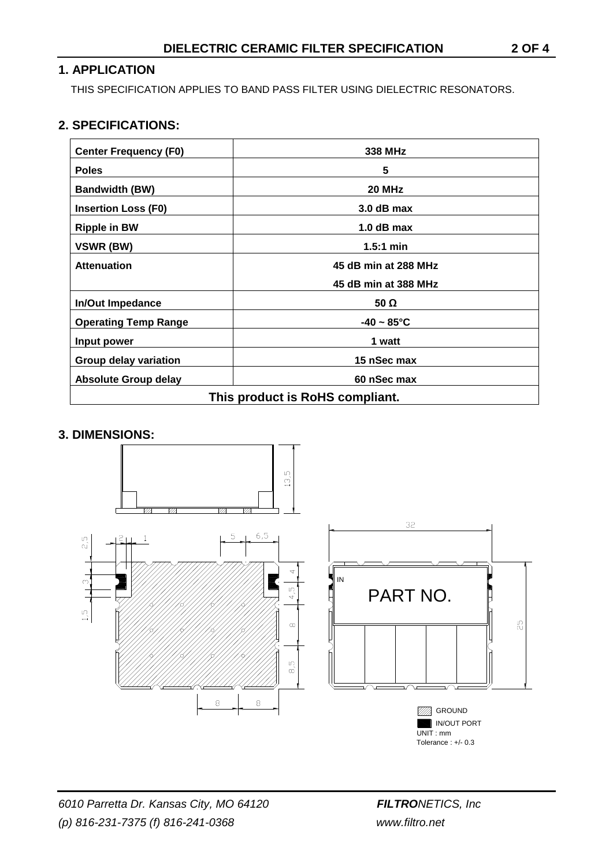#### **1. APPLICATION**

THIS SPECIFICATION APPLIES TO BAND PASS FILTER USING DIELECTRIC RESONATORS.

#### **2. SPECIFICATIONS:**

| <b>Center Frequency (F0)</b>    | 338 MHz                 |  |  |
|---------------------------------|-------------------------|--|--|
| <b>Poles</b>                    | 5                       |  |  |
| <b>Bandwidth (BW)</b>           | 20 MHz                  |  |  |
| <b>Insertion Loss (F0)</b>      | 3.0 dB max              |  |  |
| <b>Ripple in BW</b>             | $1.0$ dB max            |  |  |
| VSWR (BW)                       | $1.5:1$ min             |  |  |
| <b>Attenuation</b>              | 45 dB min at 288 MHz    |  |  |
|                                 | 45 dB min at 388 MHz    |  |  |
| <b>In/Out Impedance</b>         | 50 Ω                    |  |  |
| <b>Operating Temp Range</b>     | $-40 \sim 85^{\circ}$ C |  |  |
| Input power                     | 1 watt                  |  |  |
| <b>Group delay variation</b>    | 15 nSec max             |  |  |
| <b>Absolute Group delay</b>     | 60 nSec max             |  |  |
| This product is RoHS compliant. |                         |  |  |

#### **3. DIMENSIONS:**

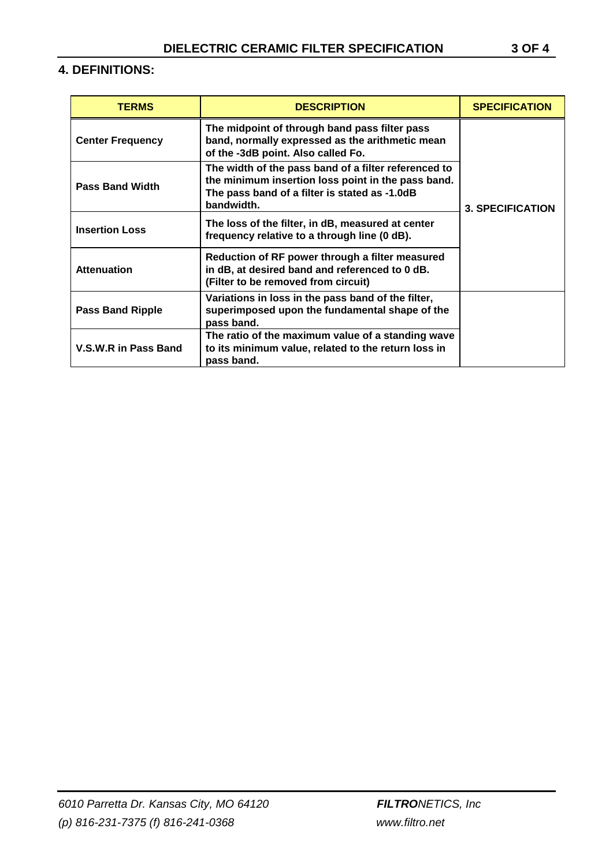### **4. DEFINITIONS:**

| <b>TERMS</b>            | <b>DESCRIPTION</b>                                                                                                                                                        | <b>SPECIFICATION</b>    |
|-------------------------|---------------------------------------------------------------------------------------------------------------------------------------------------------------------------|-------------------------|
| <b>Center Frequency</b> | The midpoint of through band pass filter pass<br>band, normally expressed as the arithmetic mean<br>of the -3dB point. Also called Fo.                                    |                         |
| <b>Pass Band Width</b>  | The width of the pass band of a filter referenced to<br>the minimum insertion loss point in the pass band.<br>The pass band of a filter is stated as -1.0dB<br>bandwidth. | <b>3. SPECIFICATION</b> |
| <b>Insertion Loss</b>   | The loss of the filter, in dB, measured at center<br>frequency relative to a through line (0 dB).                                                                         |                         |
| <b>Attenuation</b>      | Reduction of RF power through a filter measured<br>in dB, at desired band and referenced to 0 dB.<br>(Filter to be removed from circuit)                                  |                         |
| <b>Pass Band Ripple</b> | Variations in loss in the pass band of the filter,<br>superimposed upon the fundamental shape of the<br>pass band.                                                        |                         |
| V.S.W.R in Pass Band    | The ratio of the maximum value of a standing wave<br>to its minimum value, related to the return loss in<br>pass band.                                                    |                         |